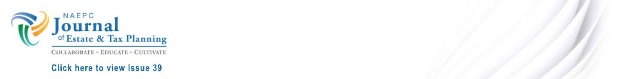

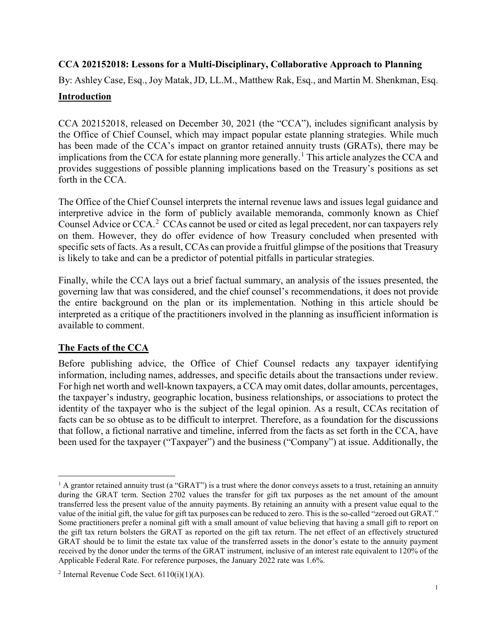## **CCA 202152018: Lessons for a Multi-Disciplinary, Collaborative Approach to Planning**

By: Ashley Case, Esq., Joy Matak, JD, LL.M., Matthew Rak, Esq., and Martin M. Shenkman, Esq.

### **Introduction**

CCA 202152018, released on December 30, 2021 (the "CCA"), includes significant analysis by the Office of Chief Counsel, which may impact popular estate planning strategies. While much has been made of the CCA's impact on grantor retained annuity trusts (GRATs), there may be implications from the CCA for estate planning more generally. [1](#page-1-0) This article analyzes the CCA and provides suggestions of possible planning implications based on the Treasury's positions as set forth in the CCA.

The Office of the Chief Counsel interprets the internal revenue laws and issues legal guidance and interpretive advice in the form of publicly available memoranda, commonly known as Chief Counsel Advice or CCA.<sup>[2](#page-1-1)</sup> CCAs cannot be used or cited as legal precedent, nor can taxpayers rely on them. However, they do offer evidence of how Treasury concluded when presented with specific sets of facts. As a result, CCAs can provide a fruitful glimpse of the positions that Treasury is likely to take and can be a predictor of potential pitfalls in particular strategies.

Finally, while the CCA lays out a brief factual summary, an analysis of the issues presented, the governing law that was considered, and the chief counsel's recommendations, it does not provide the entire background on the plan or its implementation. Nothing in this article should be interpreted as a critique of the practitioners involved in the planning as insufficient information is available to comment.

## **The Facts of the CCA**

Before publishing advice, the Office of Chief Counsel redacts any taxpayer identifying information, including names, addresses, and specific details about the transactions under review. For high net worth and well-known taxpayers, a CCA may omit dates, dollar amounts, percentages, the taxpayer's industry, geographic location, business relationships, or associations to protect the identity of the taxpayer who is the subject of the legal opinion. As a result, CCAs recitation of facts can be so obtuse as to be difficult to interpret. Therefore, as a foundation for the discussions that follow, a fictional narrative and timeline, inferred from the facts as set forth in the CCA, have been used for the taxpayer ("Taxpayer") and the business ("Company") at issue. Additionally, the

<span id="page-1-0"></span> $1$  A grantor retained annuity trust (a "GRAT") is a trust where the donor conveys assets to a trust, retaining an annuity during the GRAT term. Section 2702 values the transfer for gift tax purposes as the net amount of the amount transferred less the present value of the annuity payments. By retaining an annuity with a present value equal to the value of the initial gift, the value for gift tax purposes can be reduced to zero. This is the so-called "zeroed out GRAT." Some practitioners prefer a nominal gift with a small amount of value believing that having a small gift to report on the gift tax return bolsters the GRAT as reported on the gift tax return. The net effect of an effectively structured GRAT should be to limit the estate tax value of the transferred assets in the donor's estate to the annuity payment received by the donor under the terms of the GRAT instrument, inclusive of an interest rate equivalent to 120% of the Applicable Federal Rate. For reference purposes, the January 2022 rate was 1.6%.

<span id="page-1-1"></span><sup>&</sup>lt;sup>2</sup> Internal Revenue Code Sect.  $6110(i)(1)(A)$ .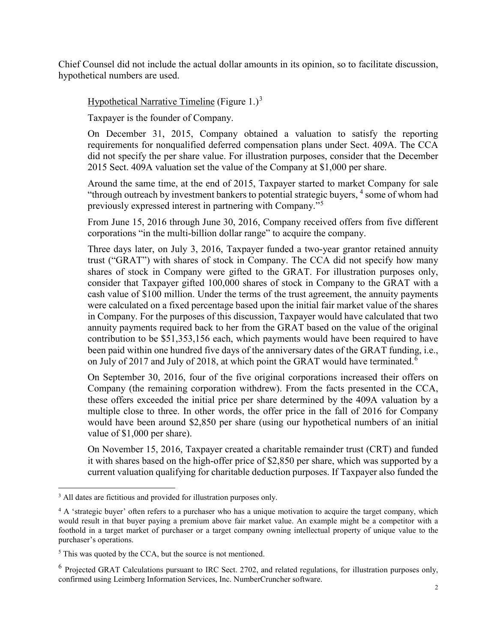Chief Counsel did not include the actual dollar amounts in its opinion, so to facilitate discussion, hypothetical numbers are used.

Hypothetical Narrative Timeline (Figure  $1.$ )<sup>[3](#page-2-0)</sup>

Taxpayer is the founder of Company.

On December 31, 2015, Company obtained a valuation to satisfy the reporting requirements for nonqualified deferred compensation plans under Sect. 409A. The CCA did not specify the per share value. For illustration purposes, consider that the December 2015 Sect. 409A valuation set the value of the Company at \$1,000 per share.

Around the same time, at the end of 2015, Taxpayer started to market Company for sale "through outreach by investment bankers to potential strategic buyers,  $4$  some of whom had previously expressed interest in partnering with Company."[5](#page-2-2)

From June 15, 2016 through June 30, 2016, Company received offers from five different corporations "in the multi-billion dollar range" to acquire the company.

Three days later, on July 3, 2016, Taxpayer funded a two-year grantor retained annuity trust ("GRAT") with shares of stock in Company. The CCA did not specify how many shares of stock in Company were gifted to the GRAT. For illustration purposes only, consider that Taxpayer gifted 100,000 shares of stock in Company to the GRAT with a cash value of \$100 million. Under the terms of the trust agreement, the annuity payments were calculated on a fixed percentage based upon the initial fair market value of the shares in Company. For the purposes of this discussion, Taxpayer would have calculated that two annuity payments required back to her from the GRAT based on the value of the original contribution to be \$51,353,156 each, which payments would have been required to have been paid within one hundred five days of the anniversary dates of the GRAT funding, i.e., on July of 2017 and July of 2018, at which point the GRAT would have terminated.<sup>[6](#page-2-3)</sup>

On September 30, 2016, four of the five original corporations increased their offers on Company (the remaining corporation withdrew). From the facts presented in the CCA, these offers exceeded the initial price per share determined by the 409A valuation by a multiple close to three. In other words, the offer price in the fall of 2016 for Company would have been around \$2,850 per share (using our hypothetical numbers of an initial value of \$1,000 per share).

On November 15, 2016, Taxpayer created a charitable remainder trust (CRT) and funded it with shares based on the high-offer price of \$2,850 per share, which was supported by a current valuation qualifying for charitable deduction purposes. If Taxpayer also funded the

<span id="page-2-0"></span><sup>&</sup>lt;sup>3</sup> All dates are fictitious and provided for illustration purposes only.

<span id="page-2-1"></span><sup>&</sup>lt;sup>4</sup> A 'strategic buyer' often refers to a purchaser who has a unique motivation to acquire the target company, which would result in that buyer paying a premium above fair market value. An example might be a competitor with a foothold in a target market of purchaser or a target company owning intellectual property of unique value to the purchaser's operations.

<span id="page-2-2"></span><sup>&</sup>lt;sup>5</sup> This was quoted by the CCA, but the source is not mentioned.

<span id="page-2-3"></span><sup>6</sup> Projected GRAT Calculations pursuant to IRC Sect. 2702, and related regulations, for illustration purposes only, confirmed using Leimberg Information Services, Inc. NumberCruncher software.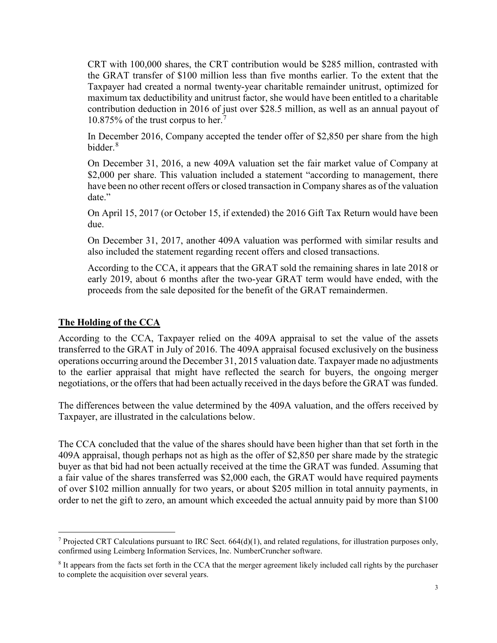CRT with 100,000 shares, the CRT contribution would be \$285 million, contrasted with the GRAT transfer of \$100 million less than five months earlier. To the extent that the Taxpayer had created a normal twenty-year charitable remainder unitrust, optimized for maximum tax deductibility and unitrust factor, she would have been entitled to a charitable contribution deduction in 2016 of just over \$28.5 million, as well as an annual payout of 10.875% of the trust corpus to her.[7](#page-3-0)

In December 2016, Company accepted the tender offer of \$2,850 per share from the high bidder. [8](#page-3-1)

On December 31, 2016, a new 409A valuation set the fair market value of Company at \$2,000 per share. This valuation included a statement "according to management, there have been no other recent offers or closed transaction in Company shares as of the valuation date."

On April 15, 2017 (or October 15, if extended) the 2016 Gift Tax Return would have been due.

On December 31, 2017, another 409A valuation was performed with similar results and also included the statement regarding recent offers and closed transactions.

According to the CCA, it appears that the GRAT sold the remaining shares in late 2018 or early 2019, about 6 months after the two-year GRAT term would have ended, with the proceeds from the sale deposited for the benefit of the GRAT remaindermen.

#### **The Holding of the CCA**

According to the CCA, Taxpayer relied on the 409A appraisal to set the value of the assets transferred to the GRAT in July of 2016. The 409A appraisal focused exclusively on the business operations occurring around the December 31, 2015 valuation date. Taxpayer made no adjustments to the earlier appraisal that might have reflected the search for buyers, the ongoing merger negotiations, or the offers that had been actually received in the days before the GRAT was funded.

The differences between the value determined by the 409A valuation, and the offers received by Taxpayer, are illustrated in the calculations below.

The CCA concluded that the value of the shares should have been higher than that set forth in the 409A appraisal, though perhaps not as high as the offer of \$2,850 per share made by the strategic buyer as that bid had not been actually received at the time the GRAT was funded. Assuming that a fair value of the shares transferred was \$2,000 each, the GRAT would have required payments of over \$102 million annually for two years, or about \$205 million in total annuity payments, in order to net the gift to zero, an amount which exceeded the actual annuity paid by more than \$100

<span id="page-3-0"></span><sup>&</sup>lt;sup>7</sup> Projected CRT Calculations pursuant to IRC Sect.  $664(d)(1)$ , and related regulations, for illustration purposes only, confirmed using Leimberg Information Services, Inc. NumberCruncher software.

<span id="page-3-1"></span><sup>8</sup> It appears from the facts set forth in the CCA that the merger agreement likely included call rights by the purchaser to complete the acquisition over several years.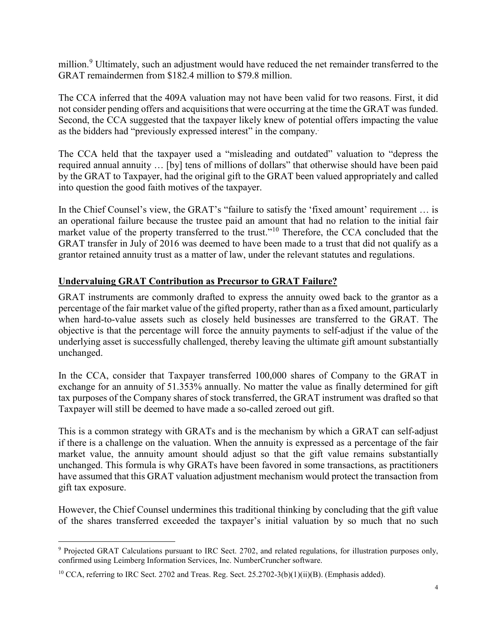million.<sup>[9](#page-4-0)</sup> Ultimately, such an adjustment would have reduced the net remainder transferred to the GRAT remaindermen from \$182.4 million to \$79.8 million.

The CCA inferred that the 409A valuation may not have been valid for two reasons. First, it did not consider pending offers and acquisitions that were occurring at the time the GRAT was funded. Second, the CCA suggested that the taxpayer likely knew of potential offers impacting the value as the bidders had "previously expressed interest" in the company.

The CCA held that the taxpayer used a "misleading and outdated" valuation to "depress the required annual annuity … [by] tens of millions of dollars" that otherwise should have been paid by the GRAT to Taxpayer, had the original gift to the GRAT been valued appropriately and called into question the good faith motives of the taxpayer.

In the Chief Counsel's view, the GRAT's "failure to satisfy the 'fixed amount' requirement … is an operational failure because the trustee paid an amount that had no relation to the initial fair market value of the property transferred to the trust."<sup>[10](#page-4-1)</sup> Therefore, the CCA concluded that the GRAT transfer in July of 2016 was deemed to have been made to a trust that did not qualify as a grantor retained annuity trust as a matter of law, under the relevant statutes and regulations.

## **Undervaluing GRAT Contribution as Precursor to GRAT Failure?**

GRAT instruments are commonly drafted to express the annuity owed back to the grantor as a percentage of the fair market value of the gifted property, rather than as a fixed amount, particularly when hard-to-value assets such as closely held businesses are transferred to the GRAT. The objective is that the percentage will force the annuity payments to self-adjust if the value of the underlying asset is successfully challenged, thereby leaving the ultimate gift amount substantially unchanged.

In the CCA, consider that Taxpayer transferred 100,000 shares of Company to the GRAT in exchange for an annuity of 51.353% annually. No matter the value as finally determined for gift tax purposes of the Company shares of stock transferred, the GRAT instrument was drafted so that Taxpayer will still be deemed to have made a so-called zeroed out gift.

This is a common strategy with GRATs and is the mechanism by which a GRAT can self-adjust if there is a challenge on the valuation. When the annuity is expressed as a percentage of the fair market value, the annuity amount should adjust so that the gift value remains substantially unchanged. This formula is why GRATs have been favored in some transactions, as practitioners have assumed that this GRAT valuation adjustment mechanism would protect the transaction from gift tax exposure.

However, the Chief Counsel undermines this traditional thinking by concluding that the gift value of the shares transferred exceeded the taxpayer's initial valuation by so much that no such

<span id="page-4-0"></span> <sup>9</sup> Projected GRAT Calculations pursuant to IRC Sect. 2702, and related regulations, for illustration purposes only, confirmed using Leimberg Information Services, Inc. NumberCruncher software.

<span id="page-4-1"></span><sup>&</sup>lt;sup>10</sup> CCA, referring to IRC Sect. 2702 and Treas. Reg. Sect. 25.2702-3(b)(1)(ii)(B). (Emphasis added).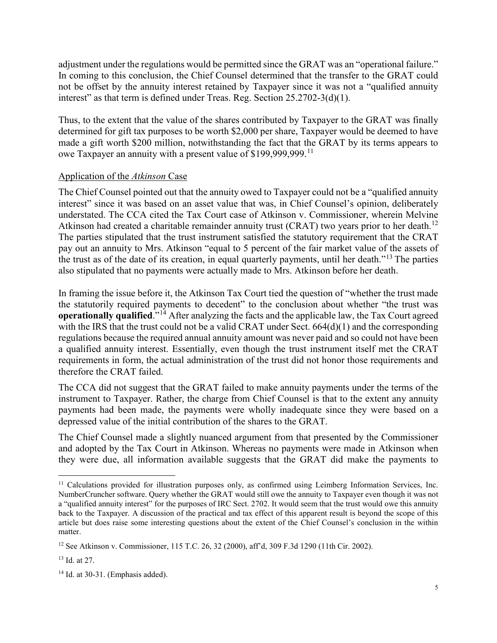adjustment under the regulations would be permitted since the GRAT was an "operational failure." In coming to this conclusion, the Chief Counsel determined that the transfer to the GRAT could not be offset by the annuity interest retained by Taxpayer since it was not a "qualified annuity interest" as that term is defined under Treas. Reg. Section 25.2702-3(d)(1).

Thus, to the extent that the value of the shares contributed by Taxpayer to the GRAT was finally determined for gift tax purposes to be worth \$2,000 per share, Taxpayer would be deemed to have made a gift worth \$200 million, notwithstanding the fact that the GRAT by its terms appears to owe Taxpayer an annuity with a present value of \$199,999,999.<sup>[11](#page-5-0)</sup>

### Application of the *Atkinson* Case

The Chief Counsel pointed out that the annuity owed to Taxpayer could not be a "qualified annuity interest" since it was based on an asset value that was, in Chief Counsel's opinion, deliberately understated. The CCA cited the Tax Court case of Atkinson v. Commissioner, wherein Melvine Atkinson had created a charitable remainder annuity trust (CRAT) two years prior to her death.<sup>[12](#page-5-1)</sup> The parties stipulated that the trust instrument satisfied the statutory requirement that the CRAT pay out an annuity to Mrs. Atkinson "equal to 5 percent of the fair market value of the assets of the trust as of the date of its creation, in equal quarterly payments, until her death."[13](#page-5-2) The parties also stipulated that no payments were actually made to Mrs. Atkinson before her death.

In framing the issue before it, the Atkinson Tax Court tied the question of "whether the trust made the statutorily required payments to decedent" to the conclusion about whether "the trust was **operationally qualified.**<sup>"[14](#page-5-3)</sup> After analyzing the facts and the applicable law, the Tax Court agreed with the IRS that the trust could not be a valid CRAT under Sect. 664(d)(1) and the corresponding regulations because the required annual annuity amount was never paid and so could not have been a qualified annuity interest. Essentially, even though the trust instrument itself met the CRAT requirements in form, the actual administration of the trust did not honor those requirements and therefore the CRAT failed.

The CCA did not suggest that the GRAT failed to make annuity payments under the terms of the instrument to Taxpayer. Rather, the charge from Chief Counsel is that to the extent any annuity payments had been made, the payments were wholly inadequate since they were based on a depressed value of the initial contribution of the shares to the GRAT.

The Chief Counsel made a slightly nuanced argument from that presented by the Commissioner and adopted by the Tax Court in Atkinson. Whereas no payments were made in Atkinson when they were due, all information available suggests that the GRAT did make the payments to

<span id="page-5-0"></span><sup>&</sup>lt;sup>11</sup> Calculations provided for illustration purposes only, as confirmed using Leimberg Information Services, Inc. NumberCruncher software. Query whether the GRAT would still owe the annuity to Taxpayer even though it was not a "qualified annuity interest" for the purposes of IRC Sect. 2702. It would seem that the trust would owe this annuity back to the Taxpayer. A discussion of the practical and tax effect of this apparent result is beyond the scope of this article but does raise some interesting questions about the extent of the Chief Counsel's conclusion in the within matter.

<span id="page-5-1"></span><sup>12</sup> See Atkinson v. Commissioner, 115 T.C. 26, 32 (2000), aff'd, 309 F.3d 1290 (11th Cir. 2002).

<span id="page-5-2"></span><sup>13</sup> Id. at 27.

<span id="page-5-3"></span><sup>&</sup>lt;sup>14</sup> Id. at 30-31. (Emphasis added).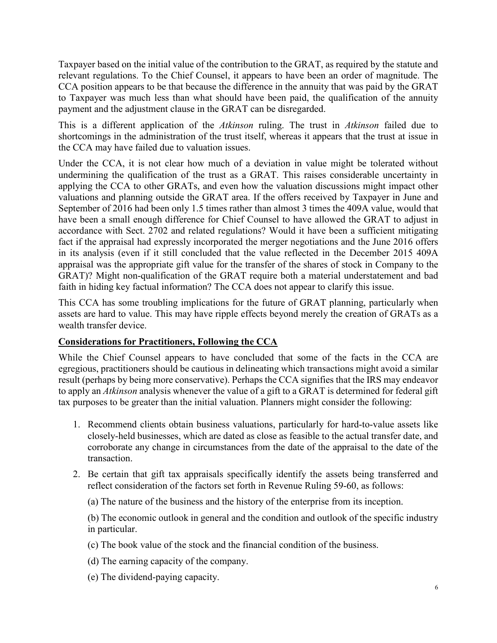Taxpayer based on the initial value of the contribution to the GRAT, as required by the statute and relevant regulations. To the Chief Counsel, it appears to have been an order of magnitude. The CCA position appears to be that because the difference in the annuity that was paid by the GRAT to Taxpayer was much less than what should have been paid, the qualification of the annuity payment and the adjustment clause in the GRAT can be disregarded.

This is a different application of the *Atkinson* ruling. The trust in *Atkinson* failed due to shortcomings in the administration of the trust itself, whereas it appears that the trust at issue in the CCA may have failed due to valuation issues.

Under the CCA, it is not clear how much of a deviation in value might be tolerated without undermining the qualification of the trust as a GRAT. This raises considerable uncertainty in applying the CCA to other GRATs, and even how the valuation discussions might impact other valuations and planning outside the GRAT area. If the offers received by Taxpayer in June and September of 2016 had been only 1.5 times rather than almost 3 times the 409A value, would that have been a small enough difference for Chief Counsel to have allowed the GRAT to adjust in accordance with Sect. 2702 and related regulations? Would it have been a sufficient mitigating fact if the appraisal had expressly incorporated the merger negotiations and the June 2016 offers in its analysis (even if it still concluded that the value reflected in the December 2015 409A appraisal was the appropriate gift value for the transfer of the shares of stock in Company to the GRAT)? Might non-qualification of the GRAT require both a material understatement and bad faith in hiding key factual information? The CCA does not appear to clarify this issue.

This CCA has some troubling implications for the future of GRAT planning, particularly when assets are hard to value. This may have ripple effects beyond merely the creation of GRATs as a wealth transfer device.

## **Considerations for Practitioners, Following the CCA**

While the Chief Counsel appears to have concluded that some of the facts in the CCA are egregious, practitioners should be cautious in delineating which transactions might avoid a similar result (perhaps by being more conservative). Perhaps the CCA signifies that the IRS may endeavor to apply an *Atkinson* analysis whenever the value of a gift to a GRAT is determined for federal gift tax purposes to be greater than the initial valuation. Planners might consider the following:

- 1. Recommend clients obtain business valuations, particularly for hard-to-value assets like closely-held businesses, which are dated as close as feasible to the actual transfer date, and corroborate any change in circumstances from the date of the appraisal to the date of the transaction.
- 2. Be certain that gift tax appraisals specifically identify the assets being transferred and reflect consideration of the factors set forth in Revenue Ruling 59-60, as follows:
	- (a) The nature of the business and the history of the enterprise from its inception.

(b) The economic outlook in general and the condition and outlook of the specific industry in particular.

- (c) The book value of the stock and the financial condition of the business.
- (d) The earning capacity of the company.
- (e) The dividend-paying capacity.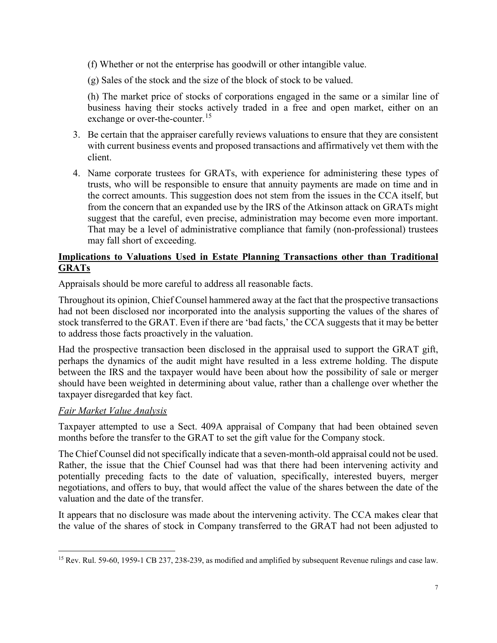- (f) Whether or not the enterprise has goodwill or other intangible value.
- (g) Sales of the stock and the size of the block of stock to be valued.

<span id="page-7-1"></span>(h) The market price of stocks of corporations engaged in the same or a similar line of business having their stocks actively traded in a free and open market, either on an exchange or over-the-counter.<sup>[15](#page-7-0)</sup>

- 3. Be certain that the appraiser carefully reviews valuations to ensure that they are consistent with current business events and proposed transactions and affirmatively vet them with the client.
- 4. Name corporate trustees for GRATs, with experience for administering these types of trusts, who will be responsible to ensure that annuity payments are made on time and in the correct amounts. This suggestion does not stem from the issues in the CCA itself, but from the concern that an expanded use by the IRS of the Atkinson attack on GRATs might suggest that the careful, even precise, administration may become even more important. That may be a level of administrative compliance that family (non-professional) trustees may fall short of exceeding.

# **Implications to Valuations Used in Estate Planning Transactions other than Traditional GRATs**

Appraisals should be more careful to address all reasonable facts.

Throughout its opinion, Chief Counsel hammered away at the fact that the prospective transactions had not been disclosed nor incorporated into the analysis supporting the values of the shares of stock transferred to the GRAT. Even if there are 'bad facts,' the CCA suggests that it may be better to address those facts proactively in the valuation.

Had the prospective transaction been disclosed in the appraisal used to support the GRAT gift, perhaps the dynamics of the audit might have resulted in a less extreme holding. The dispute between the IRS and the taxpayer would have been about how the possibility of sale or merger should have been weighted in determining about value, rather than a challenge over whether the taxpayer disregarded that key fact.

#### *Fair Market Value Analysis*

Taxpayer attempted to use a Sect. 409A appraisal of Company that had been obtained seven months before the transfer to the GRAT to set the gift value for the Company stock.

The Chief Counsel did not specifically indicate that a seven-month-old appraisal could not be used. Rather, the issue that the Chief Counsel had was that there had been intervening activity and potentially preceding facts to the date of valuation, specifically, interested buyers, merger negotiations, and offers to buy, that would affect the value of the shares between the date of the valuation and the date of the transfer.

It appears that no disclosure was made about the intervening activity. The CCA makes clear that the value of the shares of stock in Company transferred to the GRAT had not been adjusted to

<span id="page-7-0"></span><sup>&</sup>lt;sup>15</sup> Rev. Rul. 59-60, 1959-1 CB 237, 238-239, as modified and amplified by subsequent Revenue rulings and case law.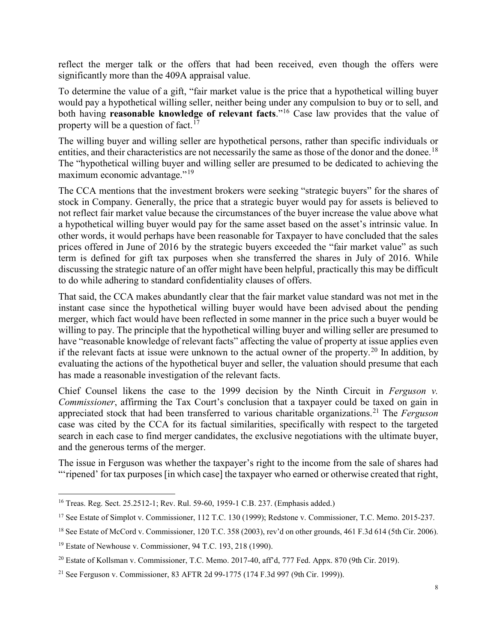reflect the merger talk or the offers that had been received, even though the offers were significantly more than the 409A appraisal value.

To determine the value of a gift, "fair market value is the price that a hypothetical willing buyer would pay a hypothetical willing seller, neither being under any compulsion to buy or to sell, and both having **reasonable knowledge of relevant facts**."<sup>[16](#page-8-0)</sup> Case law provides that the value of property will be a question of fact.<sup>[17](#page-8-1)</sup>

The willing buyer and willing seller are hypothetical persons, rather than specific individuals or entities, and their characteristics are not necessarily the same as those of the donor and the donee.<sup>[18](#page-8-2)</sup> The "hypothetical willing buyer and willing seller are presumed to be dedicated to achieving the maximum economic advantage."<sup>[19](#page-8-3)</sup>

The CCA mentions that the investment brokers were seeking "strategic buyers" for the shares of stock in Company. Generally, the price that a strategic buyer would pay for assets is believed to not reflect fair market value because the circumstances of the buyer increase the value above what a hypothetical willing buyer would pay for the same asset based on the asset's intrinsic value. In other words, it would perhaps have been reasonable for Taxpayer to have concluded that the sales prices offered in June of 2016 by the strategic buyers exceeded the "fair market value" as such term is defined for gift tax purposes when she transferred the shares in July of 2016. While discussing the strategic nature of an offer might have been helpful, practically this may be difficult to do while adhering to standard confidentiality clauses of offers.

That said, the CCA makes abundantly clear that the fair market value standard was not met in the instant case since the hypothetical willing buyer would have been advised about the pending merger, which fact would have been reflected in some manner in the price such a buyer would be willing to pay. The principle that the hypothetical willing buyer and willing seller are presumed to have "reasonable knowledge of relevant facts" affecting the value of property at issue applies even if the relevant facts at issue were unknown to the actual owner of the property.<sup>[20](#page-8-4)</sup> In addition, by evaluating the actions of the hypothetical buyer and seller, the valuation should presume that each has made a reasonable investigation of the relevant facts.

<span id="page-8-6"></span>Chief Counsel likens the case to the 1999 decision by the Ninth Circuit in *Ferguson v. Commissioner*, affirming the Tax Court's conclusion that a taxpayer could be taxed on gain in appreciated stock that had been transferred to various charitable organizations. [21](#page-8-5) The *Ferguson* case was cited by the CCA for its factual similarities, specifically with respect to the targeted search in each case to find merger candidates, the exclusive negotiations with the ultimate buyer, and the generous terms of the merger.

The issue in Ferguson was whether the taxpayer's right to the income from the sale of shares had "'ripened' for tax purposes [in which case] the taxpayer who earned or otherwise created that right,

<span id="page-8-0"></span> <sup>16</sup> Treas. Reg. Sect. 25.2512-1; Rev. Rul. 59-60, 1959-1 C.B. 237. (Emphasis added.)

<span id="page-8-1"></span><sup>&</sup>lt;sup>17</sup> See Estate of Simplot v. Commissioner, 112 T.C. 130 (1999); Redstone v. Commissioner, T.C. Memo. 2015-237.

<span id="page-8-2"></span><sup>&</sup>lt;sup>18</sup> See Estate of McCord v. Commissioner, 120 T.C. 358 (2003), rev'd on other grounds, 461 F.3d 614 (5th Cir. 2006).

<span id="page-8-3"></span><sup>19</sup> Estate of Newhouse v. Commissioner, 94 T.C. 193, 218 (1990).

<span id="page-8-4"></span><sup>20</sup> Estate of Kollsman v. Commissioner, T.C. Memo. 2017-40, aff'd, 777 Fed. Appx. 870 (9th Cir. 2019).

<span id="page-8-5"></span><sup>21</sup> See Ferguson v. Commissioner, 83 AFTR 2d 99-1775 (174 F.3d 997 (9th Cir. 1999)).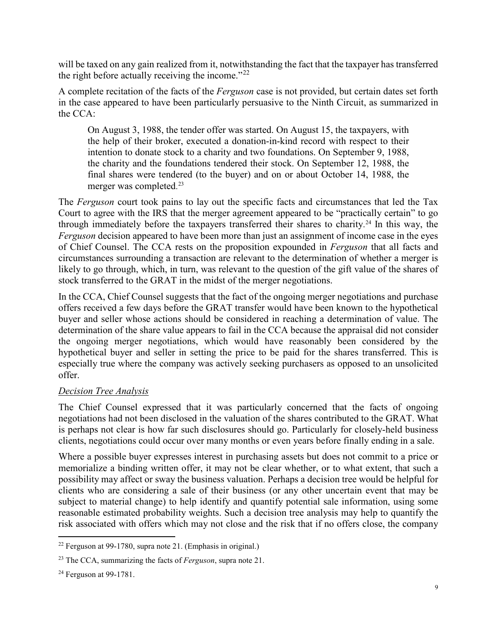will be taxed on any gain realized from it, notwithstanding the fact that the taxpayer has transferred the right before actually receiving the income."<sup>[22](#page-9-0)</sup>

A complete recitation of the facts of the *Ferguson* case is not provided, but certain dates set forth in the case appeared to have been particularly persuasive to the Ninth Circuit, as summarized in the CCA:

On August 3, 1988, the tender offer was started. On August 15, the taxpayers, with the help of their broker, executed a donation-in-kind record with respect to their intention to donate stock to a charity and two foundations. On September 9, 1988, the charity and the foundations tendered their stock. On September 12, 1988, the final shares were tendered (to the buyer) and on or about October 14, 1988, the merger was completed. [23](#page-9-1)

The *Ferguson* court took pains to lay out the specific facts and circumstances that led the Tax Court to agree with the IRS that the merger agreement appeared to be "practically certain" to go through immediately before the taxpayers transferred their shares to charity. [24](#page-9-2) In this way, the *Ferguson* decision appeared to have been more than just an assignment of income case in the eyes of Chief Counsel. The CCA rests on the proposition expounded in *Ferguson* that all facts and circumstances surrounding a transaction are relevant to the determination of whether a merger is likely to go through, which, in turn, was relevant to the question of the gift value of the shares of stock transferred to the GRAT in the midst of the merger negotiations.

In the CCA, Chief Counsel suggests that the fact of the ongoing merger negotiations and purchase offers received a few days before the GRAT transfer would have been known to the hypothetical buyer and seller whose actions should be considered in reaching a determination of value. The determination of the share value appears to fail in the CCA because the appraisal did not consider the ongoing merger negotiations, which would have reasonably been considered by the hypothetical buyer and seller in setting the price to be paid for the shares transferred. This is especially true where the company was actively seeking purchasers as opposed to an unsolicited offer.

## *Decision Tree Analysis*

The Chief Counsel expressed that it was particularly concerned that the facts of ongoing negotiations had not been disclosed in the valuation of the shares contributed to the GRAT. What is perhaps not clear is how far such disclosures should go. Particularly for closely-held business clients, negotiations could occur over many months or even years before finally ending in a sale.

Where a possible buyer expresses interest in purchasing assets but does not commit to a price or memorialize a binding written offer, it may not be clear whether, or to what extent, that such a possibility may affect or sway the business valuation. Perhaps a decision tree would be helpful for clients who are considering a sale of their business (or any other uncertain event that may be subject to material change) to help identify and quantify potential sale information, using some reasonable estimated probability weights. Such a decision tree analysis may help to quantify the risk associated with offers which may not close and the risk that if no offers close, the company

<span id="page-9-0"></span><sup>&</sup>lt;sup>22</sup> Ferguson at 99-1780, supra not[e 21.](#page-8-6) (Emphasis in original.)

<span id="page-9-1"></span><sup>23</sup> The CCA, summarizing the facts of *Ferguson*, supra note [21.](#page-8-6)

<span id="page-9-2"></span><sup>&</sup>lt;sup>24</sup> Ferguson at 99-1781.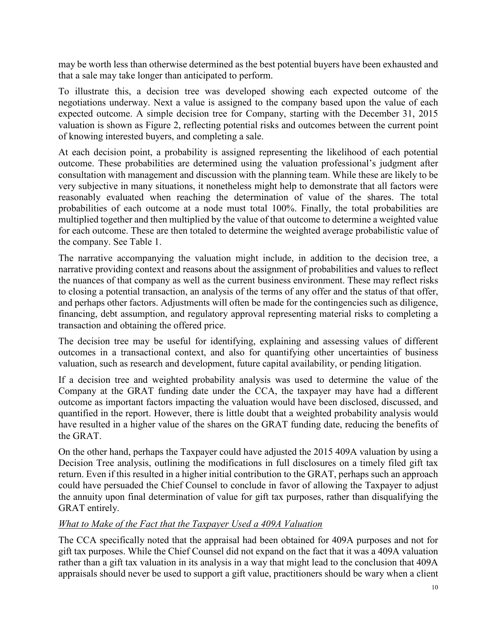may be worth less than otherwise determined as the best potential buyers have been exhausted and that a sale may take longer than anticipated to perform.

To illustrate this, a decision tree was developed showing each expected outcome of the negotiations underway. Next a value is assigned to the company based upon the value of each expected outcome. A simple decision tree for Company, starting with the December 31, 2015 valuation is shown as Figure 2, reflecting potential risks and outcomes between the current point of knowing interested buyers, and completing a sale.

At each decision point, a probability is assigned representing the likelihood of each potential outcome. These probabilities are determined using the valuation professional's judgment after consultation with management and discussion with the planning team. While these are likely to be very subjective in many situations, it nonetheless might help to demonstrate that all factors were reasonably evaluated when reaching the determination of value of the shares. The total probabilities of each outcome at a node must total 100%. Finally, the total probabilities are multiplied together and then multiplied by the value of that outcome to determine a weighted value for each outcome. These are then totaled to determine the weighted average probabilistic value of the company. See Table 1.

The narrative accompanying the valuation might include, in addition to the decision tree, a narrative providing context and reasons about the assignment of probabilities and values to reflect the nuances of that company as well as the current business environment. These may reflect risks to closing a potential transaction, an analysis of the terms of any offer and the status of that offer, and perhaps other factors. Adjustments will often be made for the contingencies such as diligence, financing, debt assumption, and regulatory approval representing material risks to completing a transaction and obtaining the offered price.

The decision tree may be useful for identifying, explaining and assessing values of different outcomes in a transactional context, and also for quantifying other uncertainties of business valuation, such as research and development, future capital availability, or pending litigation.

If a decision tree and weighted probability analysis was used to determine the value of the Company at the GRAT funding date under the CCA, the taxpayer may have had a different outcome as important factors impacting the valuation would have been disclosed, discussed, and quantified in the report. However, there is little doubt that a weighted probability analysis would have resulted in a higher value of the shares on the GRAT funding date, reducing the benefits of the GRAT.

On the other hand, perhaps the Taxpayer could have adjusted the 2015 409A valuation by using a Decision Tree analysis, outlining the modifications in full disclosures on a timely filed gift tax return. Even if this resulted in a higher initial contribution to the GRAT, perhaps such an approach could have persuaded the Chief Counsel to conclude in favor of allowing the Taxpayer to adjust the annuity upon final determination of value for gift tax purposes, rather than disqualifying the GRAT entirely.

## *What to Make of the Fact that the Taxpayer Used a 409A Valuation*

The CCA specifically noted that the appraisal had been obtained for 409A purposes and not for gift tax purposes. While the Chief Counsel did not expand on the fact that it was a 409A valuation rather than a gift tax valuation in its analysis in a way that might lead to the conclusion that 409A appraisals should never be used to support a gift value, practitioners should be wary when a client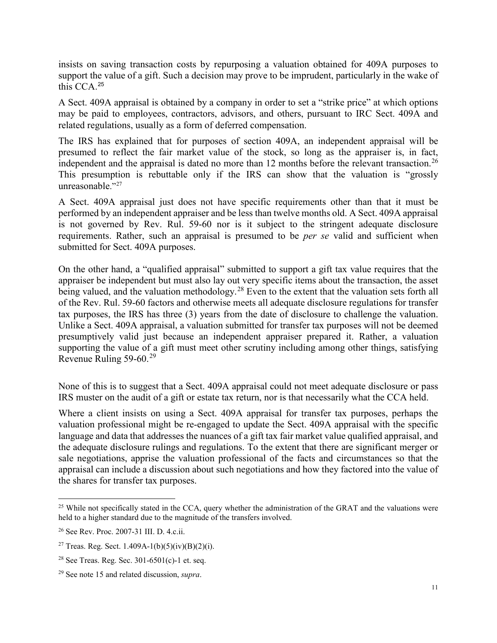insists on saving transaction costs by repurposing a valuation obtained for 409A purposes to support the value of a gift. Such a decision may prove to be imprudent, particularly in the wake of this CCA. [25](#page-11-0)

A Sect. 409A appraisal is obtained by a company in order to set a "strike price" at which options may be paid to employees, contractors, advisors, and others, pursuant to IRC Sect. 409A and related regulations, usually as a form of deferred compensation.

The IRS has explained that for purposes of section 409A, an independent appraisal will be presumed to reflect the fair market value of the stock, so long as the appraiser is, in fact, independent and the appraisal is dated no more than 12 months before the relevant transaction.<sup>[26](#page-11-1)</sup> This presumption is rebuttable only if the IRS can show that the valuation is "grossly unreasonable."<sup>[27](#page-11-2)</sup>

A Sect. 409A appraisal just does not have specific requirements other than that it must be performed by an independent appraiser and be less than twelve months old. A Sect. 409A appraisal is not governed by Rev. Rul. 59-60 nor is it subject to the stringent adequate disclosure requirements. Rather, such an appraisal is presumed to be *per se* valid and sufficient when submitted for Sect. 409A purposes.

On the other hand, a "qualified appraisal" submitted to support a gift tax value requires that the appraiser be independent but must also lay out very specific items about the transaction, the asset being valued, and the valuation methodology.<sup>[28](#page-11-3)</sup> Even to the extent that the valuation sets forth all of the Rev. Rul. 59-60 factors and otherwise meets all adequate disclosure regulations for transfer tax purposes, the IRS has three (3) years from the date of disclosure to challenge the valuation. Unlike a Sect. 409A appraisal, a valuation submitted for transfer tax purposes will not be deemed presumptively valid just because an independent appraiser prepared it. Rather, a valuation supporting the value of a gift must meet other scrutiny including among other things, satisfying Revenue Ruling 59-60.[29](#page-11-4)

None of this is to suggest that a Sect. 409A appraisal could not meet adequate disclosure or pass IRS muster on the audit of a gift or estate tax return, nor is that necessarily what the CCA held.

Where a client insists on using a Sect. 409A appraisal for transfer tax purposes, perhaps the valuation professional might be re-engaged to update the Sect. 409A appraisal with the specific language and data that addresses the nuances of a gift tax fair market value qualified appraisal, and the adequate disclosure rulings and regulations. To the extent that there are significant merger or sale negotiations, apprise the valuation professional of the facts and circumstances so that the appraisal can include a discussion about such negotiations and how they factored into the value of the shares for transfer tax purposes.

<span id="page-11-0"></span><sup>&</sup>lt;sup>25</sup> While not specifically stated in the CCA, query whether the administration of the GRAT and the valuations were held to a higher standard due to the magnitude of the transfers involved.

<span id="page-11-1"></span><sup>26</sup> See Rev. Proc. 2007-31 III. D. 4.c.ii.

<span id="page-11-2"></span><sup>&</sup>lt;sup>27</sup> Treas. Reg. Sect. 1.409A-1(b)(5)(iv)(B)(2)(i).

<span id="page-11-3"></span><sup>&</sup>lt;sup>28</sup> See Treas. Reg. Sec.  $301-6501(c)$ -1 et. seq.

<span id="page-11-4"></span><sup>29</sup> See not[e 15](#page-7-1) and related discussion, *supra*.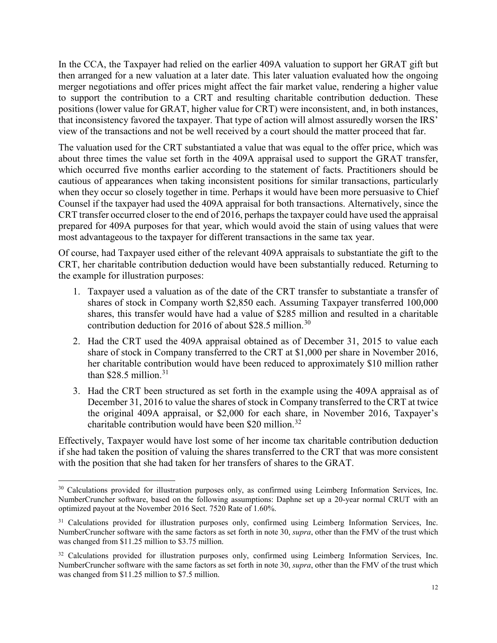In the CCA, the Taxpayer had relied on the earlier 409A valuation to support her GRAT gift but then arranged for a new valuation at a later date. This later valuation evaluated how the ongoing merger negotiations and offer prices might affect the fair market value, rendering a higher value to support the contribution to a CRT and resulting charitable contribution deduction. These positions (lower value for GRAT, higher value for CRT) were inconsistent, and, in both instances, that inconsistency favored the taxpayer. That type of action will almost assuredly worsen the IRS' view of the transactions and not be well received by a court should the matter proceed that far.

The valuation used for the CRT substantiated a value that was equal to the offer price, which was about three times the value set forth in the 409A appraisal used to support the GRAT transfer, which occurred five months earlier according to the statement of facts. Practitioners should be cautious of appearances when taking inconsistent positions for similar transactions, particularly when they occur so closely together in time. Perhaps it would have been more persuasive to Chief Counsel if the taxpayer had used the 409A appraisal for both transactions. Alternatively, since the CRT transfer occurred closer to the end of 2016, perhaps the taxpayer could have used the appraisal prepared for 409A purposes for that year, which would avoid the stain of using values that were most advantageous to the taxpayer for different transactions in the same tax year.

Of course, had Taxpayer used either of the relevant 409A appraisals to substantiate the gift to the CRT, her charitable contribution deduction would have been substantially reduced. Returning to the example for illustration purposes:

- 1. Taxpayer used a valuation as of the date of the CRT transfer to substantiate a transfer of shares of stock in Company worth \$2,850 each. Assuming Taxpayer transferred 100,000 shares, this transfer would have had a value of \$285 million and resulted in a charitable contribution deduction for 2016 of about \$28.5 million. [30](#page-12-1)
- <span id="page-12-0"></span>2. Had the CRT used the 409A appraisal obtained as of December 31, 2015 to value each share of stock in Company transferred to the CRT at \$1,000 per share in November 2016, her charitable contribution would have been reduced to approximately \$10 million rather than \$28.5 million.<sup>[31](#page-12-2)</sup>
- 3. Had the CRT been structured as set forth in the example using the 409A appraisal as of December 31, 2016 to value the shares of stock in Company transferred to the CRT at twice the original 409A appraisal, or \$2,000 for each share, in November 2016, Taxpayer's charitable contribution would have been \$20 million. [32](#page-12-3)

Effectively, Taxpayer would have lost some of her income tax charitable contribution deduction if she had taken the position of valuing the shares transferred to the CRT that was more consistent with the position that she had taken for her transfers of shares to the GRAT.

<span id="page-12-1"></span><sup>&</sup>lt;sup>30</sup> Calculations provided for illustration purposes only, as confirmed using Leimberg Information Services, Inc. NumberCruncher software, based on the following assumptions: Daphne set up a 20-year normal CRUT with an optimized payout at the November 2016 Sect. 7520 Rate of 1.60%.

<span id="page-12-2"></span><sup>&</sup>lt;sup>31</sup> Calculations provided for illustration purposes only, confirmed using Leimberg Information Services, Inc. NumberCruncher software with the same factors as set forth in note [30,](#page-12-0) *supra*, other than the FMV of the trust which was changed from \$11.25 million to \$3.75 million.

<span id="page-12-3"></span><sup>&</sup>lt;sup>32</sup> Calculations provided for illustration purposes only, confirmed using Leimberg Information Services, Inc. NumberCruncher software with the same factors as set forth in note [30,](#page-12-0) *supra*, other than the FMV of the trust which was changed from \$11.25 million to \$7.5 million.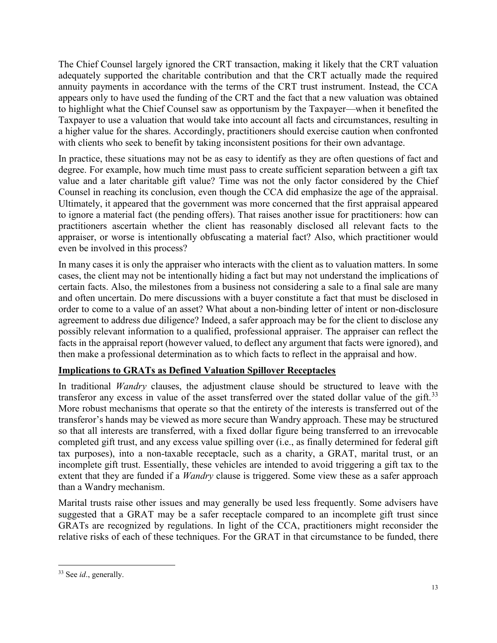The Chief Counsel largely ignored the CRT transaction, making it likely that the CRT valuation adequately supported the charitable contribution and that the CRT actually made the required annuity payments in accordance with the terms of the CRT trust instrument. Instead, the CCA appears only to have used the funding of the CRT and the fact that a new valuation was obtained to highlight what the Chief Counsel saw as opportunism by the Taxpayer—when it benefited the Taxpayer to use a valuation that would take into account all facts and circumstances, resulting in a higher value for the shares. Accordingly, practitioners should exercise caution when confronted with clients who seek to benefit by taking inconsistent positions for their own advantage.

In practice, these situations may not be as easy to identify as they are often questions of fact and degree. For example, how much time must pass to create sufficient separation between a gift tax value and a later charitable gift value? Time was not the only factor considered by the Chief Counsel in reaching its conclusion, even though the CCA did emphasize the age of the appraisal. Ultimately, it appeared that the government was more concerned that the first appraisal appeared to ignore a material fact (the pending offers). That raises another issue for practitioners: how can practitioners ascertain whether the client has reasonably disclosed all relevant facts to the appraiser, or worse is intentionally obfuscating a material fact? Also, which practitioner would even be involved in this process?

In many cases it is only the appraiser who interacts with the client as to valuation matters. In some cases, the client may not be intentionally hiding a fact but may not understand the implications of certain facts. Also, the milestones from a business not considering a sale to a final sale are many and often uncertain. Do mere discussions with a buyer constitute a fact that must be disclosed in order to come to a value of an asset? What about a non-binding letter of intent or non-disclosure agreement to address due diligence? Indeed, a safer approach may be for the client to disclose any possibly relevant information to a qualified, professional appraiser. The appraiser can reflect the facts in the appraisal report (however valued, to deflect any argument that facts were ignored), and then make a professional determination as to which facts to reflect in the appraisal and how.

## **Implications to GRATs as Defined Valuation Spillover Receptacles**

In traditional *Wandry* clauses, the adjustment clause should be structured to leave with the transferor any excess in value of the asset transferred over the stated dollar value of the gift.<sup>[33](#page-13-0)</sup> More robust mechanisms that operate so that the entirety of the interests is transferred out of the transferor's hands may be viewed as more secure than Wandry approach. These may be structured so that all interests are transferred, with a fixed dollar figure being transferred to an irrevocable completed gift trust, and any excess value spilling over (i.e., as finally determined for federal gift tax purposes), into a non-taxable receptacle, such as a charity, a GRAT, marital trust, or an incomplete gift trust. Essentially, these vehicles are intended to avoid triggering a gift tax to the extent that they are funded if a *Wandry* clause is triggered. Some view these as a safer approach than a Wandry mechanism.

Marital trusts raise other issues and may generally be used less frequently. Some advisers have suggested that a GRAT may be a safer receptacle compared to an incomplete gift trust since GRATs are recognized by regulations. In light of the CCA, practitioners might reconsider the relative risks of each of these techniques. For the GRAT in that circumstance to be funded, there

<span id="page-13-0"></span> <sup>33</sup> See *id*., generally.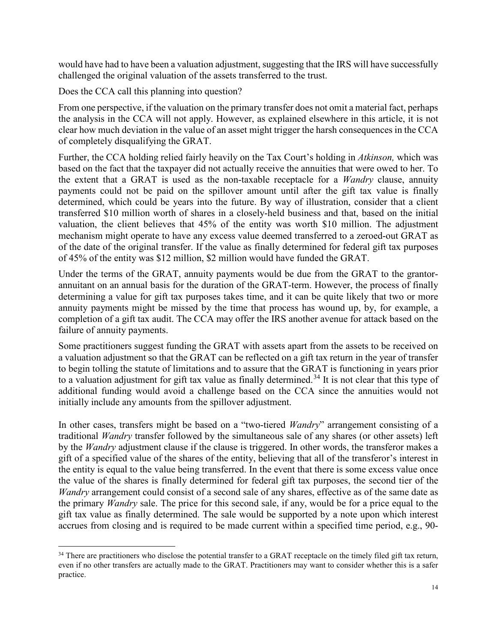would have had to have been a valuation adjustment, suggesting that the IRS will have successfully challenged the original valuation of the assets transferred to the trust.

Does the CCA call this planning into question?

From one perspective, if the valuation on the primary transfer does not omit a material fact, perhaps the analysis in the CCA will not apply. However, as explained elsewhere in this article, it is not clear how much deviation in the value of an asset might trigger the harsh consequences in the CCA of completely disqualifying the GRAT.

Further, the CCA holding relied fairly heavily on the Tax Court's holding in *Atkinson,* which was based on the fact that the taxpayer did not actually receive the annuities that were owed to her. To the extent that a GRAT is used as the non-taxable receptacle for a *Wandry* clause, annuity payments could not be paid on the spillover amount until after the gift tax value is finally determined, which could be years into the future. By way of illustration, consider that a client transferred \$10 million worth of shares in a closely-held business and that, based on the initial valuation, the client believes that 45% of the entity was worth \$10 million. The adjustment mechanism might operate to have any excess value deemed transferred to a zeroed-out GRAT as of the date of the original transfer. If the value as finally determined for federal gift tax purposes of 45% of the entity was \$12 million, \$2 million would have funded the GRAT.

Under the terms of the GRAT, annuity payments would be due from the GRAT to the grantorannuitant on an annual basis for the duration of the GRAT-term. However, the process of finally determining a value for gift tax purposes takes time, and it can be quite likely that two or more annuity payments might be missed by the time that process has wound up, by, for example, a completion of a gift tax audit. The CCA may offer the IRS another avenue for attack based on the failure of annuity payments.

Some practitioners suggest funding the GRAT with assets apart from the assets to be received on a valuation adjustment so that the GRAT can be reflected on a gift tax return in the year of transfer to begin tolling the statute of limitations and to assure that the GRAT is functioning in years prior to a valuation adjustment for gift tax value as finally determined.<sup>[34](#page-14-0)</sup> It is not clear that this type of additional funding would avoid a challenge based on the CCA since the annuities would not initially include any amounts from the spillover adjustment.

In other cases, transfers might be based on a "two-tiered *Wandry*" arrangement consisting of a traditional *Wandry* transfer followed by the simultaneous sale of any shares (or other assets) left by the *Wandry* adjustment clause if the clause is triggered. In other words, the transferor makes a gift of a specified value of the shares of the entity, believing that all of the transferor's interest in the entity is equal to the value being transferred. In the event that there is some excess value once the value of the shares is finally determined for federal gift tax purposes, the second tier of the *Wandry* arrangement could consist of a second sale of any shares, effective as of the same date as the primary *Wandry* sale. The price for this second sale, if any, would be for a price equal to the gift tax value as finally determined. The sale would be supported by a note upon which interest accrues from closing and is required to be made current within a specified time period, e.g., 90-

<span id="page-14-0"></span><sup>&</sup>lt;sup>34</sup> There are practitioners who disclose the potential transfer to a GRAT receptacle on the timely filed gift tax return, even if no other transfers are actually made to the GRAT. Practitioners may want to consider whether this is a safer practice.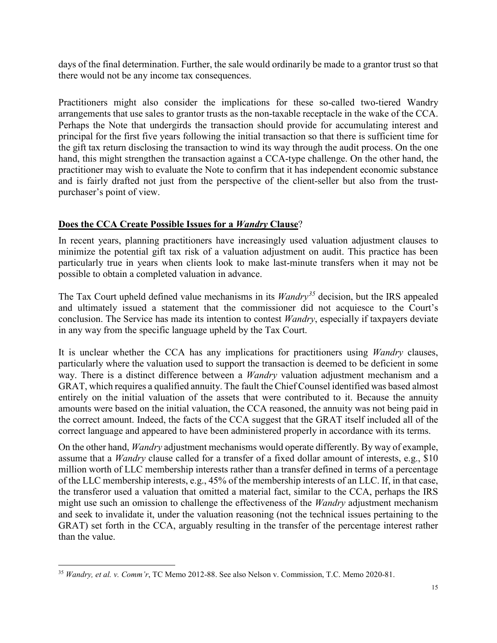days of the final determination. Further, the sale would ordinarily be made to a grantor trust so that there would not be any income tax consequences.

Practitioners might also consider the implications for these so-called two-tiered Wandry arrangements that use sales to grantor trusts as the non-taxable receptacle in the wake of the CCA. Perhaps the Note that undergirds the transaction should provide for accumulating interest and principal for the first five years following the initial transaction so that there is sufficient time for the gift tax return disclosing the transaction to wind its way through the audit process. On the one hand, this might strengthen the transaction against a CCA-type challenge. On the other hand, the practitioner may wish to evaluate the Note to confirm that it has independent economic substance and is fairly drafted not just from the perspective of the client-seller but also from the trustpurchaser's point of view.

### **Does the CCA Create Possible Issues for a** *Wandry* **Clause**?

In recent years, planning practitioners have increasingly used valuation adjustment clauses to minimize the potential gift tax risk of a valuation adjustment on audit. This practice has been particularly true in years when clients look to make last-minute transfers when it may not be possible to obtain a completed valuation in advance.

The Tax Court upheld defined value mechanisms in its *Wandry[35](#page-15-0)* decision, but the IRS appealed and ultimately issued a statement that the commissioner did not acquiesce to the Court's conclusion. The Service has made its intention to contest *Wandry*, especially if taxpayers deviate in any way from the specific language upheld by the Tax Court.

It is unclear whether the CCA has any implications for practitioners using *Wandry* clauses, particularly where the valuation used to support the transaction is deemed to be deficient in some way. There is a distinct difference between a *Wandry* valuation adjustment mechanism and a GRAT, which requires a qualified annuity. The fault the Chief Counsel identified was based almost entirely on the initial valuation of the assets that were contributed to it. Because the annuity amounts were based on the initial valuation, the CCA reasoned, the annuity was not being paid in the correct amount. Indeed, the facts of the CCA suggest that the GRAT itself included all of the correct language and appeared to have been administered properly in accordance with its terms.

On the other hand, *Wandry* adjustment mechanisms would operate differently. By way of example, assume that a *Wandry* clause called for a transfer of a fixed dollar amount of interests, e.g., \$10 million worth of LLC membership interests rather than a transfer defined in terms of a percentage of the LLC membership interests, e.g., 45% of the membership interests of an LLC. If, in that case, the transferor used a valuation that omitted a material fact, similar to the CCA, perhaps the IRS might use such an omission to challenge the effectiveness of the *Wandry* adjustment mechanism and seek to invalidate it, under the valuation reasoning (not the technical issues pertaining to the GRAT) set forth in the CCA, arguably resulting in the transfer of the percentage interest rather than the value.

<span id="page-15-0"></span> <sup>35</sup> *Wandry, et al. v. Comm'r*, TC Memo 2012-88. See also Nelson v. Commission, T.C. Memo 2020-81.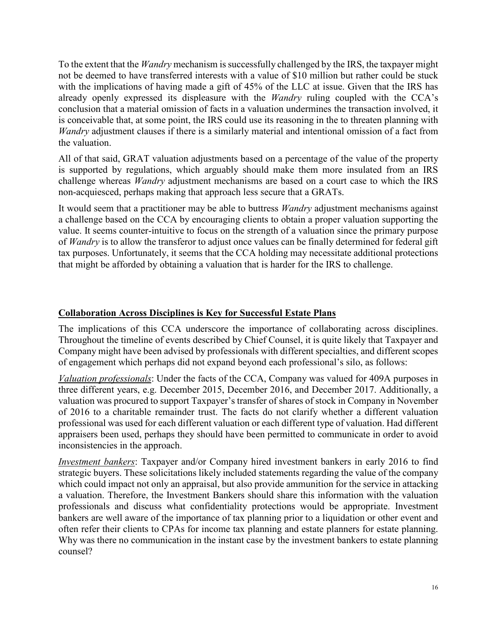To the extent that the *Wandry* mechanism is successfully challenged by the IRS, the taxpayer might not be deemed to have transferred interests with a value of \$10 million but rather could be stuck with the implications of having made a gift of 45% of the LLC at issue. Given that the IRS has already openly expressed its displeasure with the *Wandry* ruling coupled with the CCA's conclusion that a material omission of facts in a valuation undermines the transaction involved, it is conceivable that, at some point, the IRS could use its reasoning in the to threaten planning with *Wandry* adjustment clauses if there is a similarly material and intentional omission of a fact from the valuation.

All of that said, GRAT valuation adjustments based on a percentage of the value of the property is supported by regulations, which arguably should make them more insulated from an IRS challenge whereas *Wandry* adjustment mechanisms are based on a court case to which the IRS non-acquiesced, perhaps making that approach less secure that a GRATs.

It would seem that a practitioner may be able to buttress *Wandry* adjustment mechanisms against a challenge based on the CCA by encouraging clients to obtain a proper valuation supporting the value. It seems counter-intuitive to focus on the strength of a valuation since the primary purpose of *Wandry* is to allow the transferor to adjust once values can be finally determined for federal gift tax purposes. Unfortunately, it seems that the CCA holding may necessitate additional protections that might be afforded by obtaining a valuation that is harder for the IRS to challenge.

### **Collaboration Across Disciplines is Key for Successful Estate Plans**

The implications of this CCA underscore the importance of collaborating across disciplines. Throughout the timeline of events described by Chief Counsel, it is quite likely that Taxpayer and Company might have been advised by professionals with different specialties, and different scopes of engagement which perhaps did not expand beyond each professional's silo, as follows:

*Valuation professionals*: Under the facts of the CCA, Company was valued for 409A purposes in three different years, e.g. December 2015, December 2016, and December 2017. Additionally, a valuation was procured to support Taxpayer's transfer of shares of stock in Company in November of 2016 to a charitable remainder trust. The facts do not clarify whether a different valuation professional was used for each different valuation or each different type of valuation. Had different appraisers been used, perhaps they should have been permitted to communicate in order to avoid inconsistencies in the approach.

*Investment bankers*: Taxpayer and/or Company hired investment bankers in early 2016 to find strategic buyers. These solicitations likely included statements regarding the value of the company which could impact not only an appraisal, but also provide ammunition for the service in attacking a valuation. Therefore, the Investment Bankers should share this information with the valuation professionals and discuss what confidentiality protections would be appropriate. Investment bankers are well aware of the importance of tax planning prior to a liquidation or other event and often refer their clients to CPAs for income tax planning and estate planners for estate planning. Why was there no communication in the instant case by the investment bankers to estate planning counsel?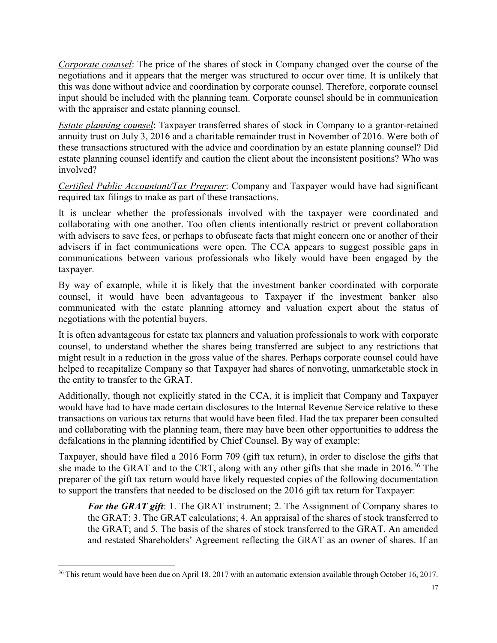*Corporate counsel*: The price of the shares of stock in Company changed over the course of the negotiations and it appears that the merger was structured to occur over time. It is unlikely that this was done without advice and coordination by corporate counsel. Therefore, corporate counsel input should be included with the planning team. Corporate counsel should be in communication with the appraiser and estate planning counsel.

*Estate planning counsel*: Taxpayer transferred shares of stock in Company to a grantor-retained annuity trust on July 3, 2016 and a charitable remainder trust in November of 2016. Were both of these transactions structured with the advice and coordination by an estate planning counsel? Did estate planning counsel identify and caution the client about the inconsistent positions? Who was involved?

*Certified Public Accountant/Tax Preparer*: Company and Taxpayer would have had significant required tax filings to make as part of these transactions.

It is unclear whether the professionals involved with the taxpayer were coordinated and collaborating with one another. Too often clients intentionally restrict or prevent collaboration with advisers to save fees, or perhaps to obfuscate facts that might concern one or another of their advisers if in fact communications were open. The CCA appears to suggest possible gaps in communications between various professionals who likely would have been engaged by the taxpayer.

By way of example, while it is likely that the investment banker coordinated with corporate counsel, it would have been advantageous to Taxpayer if the investment banker also communicated with the estate planning attorney and valuation expert about the status of negotiations with the potential buyers.

It is often advantageous for estate tax planners and valuation professionals to work with corporate counsel, to understand whether the shares being transferred are subject to any restrictions that might result in a reduction in the gross value of the shares. Perhaps corporate counsel could have helped to recapitalize Company so that Taxpayer had shares of nonvoting, unmarketable stock in the entity to transfer to the GRAT.

Additionally, though not explicitly stated in the CCA, it is implicit that Company and Taxpayer would have had to have made certain disclosures to the Internal Revenue Service relative to these transactions on various tax returns that would have been filed. Had the tax preparer been consulted and collaborating with the planning team, there may have been other opportunities to address the defalcations in the planning identified by Chief Counsel. By way of example:

Taxpayer, should have filed a 2016 Form 709 (gift tax return), in order to disclose the gifts that she made to the GRAT and to the CRT, along with any other gifts that she made in 2016.<sup>[36](#page-17-0)</sup> The preparer of the gift tax return would have likely requested copies of the following documentation to support the transfers that needed to be disclosed on the 2016 gift tax return for Taxpayer:

*For the GRAT gift*: 1. The GRAT instrument; 2. The Assignment of Company shares to the GRAT; 3. The GRAT calculations; 4. An appraisal of the shares of stock transferred to the GRAT; and 5. The basis of the shares of stock transferred to the GRAT. An amended and restated Shareholders' Agreement reflecting the GRAT as an owner of shares. If an

<span id="page-17-0"></span><sup>&</sup>lt;sup>36</sup> This return would have been due on April 18, 2017 with an automatic extension available through October 16, 2017.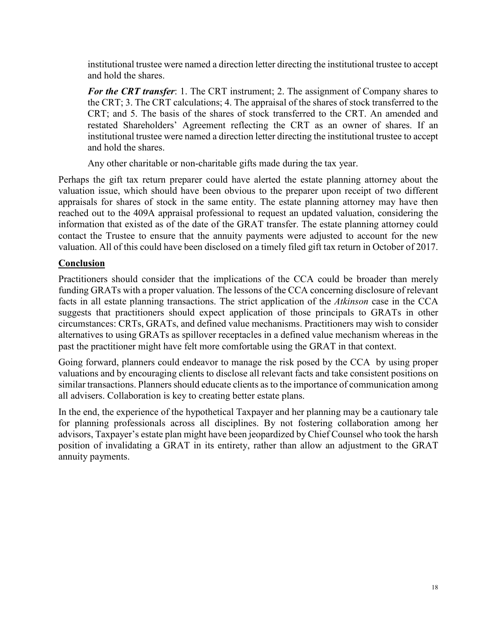institutional trustee were named a direction letter directing the institutional trustee to accept and hold the shares.

*For the CRT transfer*: 1. The CRT instrument; 2. The assignment of Company shares to the CRT; 3. The CRT calculations; 4. The appraisal of the shares of stock transferred to the CRT; and 5. The basis of the shares of stock transferred to the CRT. An amended and restated Shareholders' Agreement reflecting the CRT as an owner of shares. If an institutional trustee were named a direction letter directing the institutional trustee to accept and hold the shares.

Any other charitable or non-charitable gifts made during the tax year.

Perhaps the gift tax return preparer could have alerted the estate planning attorney about the valuation issue, which should have been obvious to the preparer upon receipt of two different appraisals for shares of stock in the same entity. The estate planning attorney may have then reached out to the 409A appraisal professional to request an updated valuation, considering the information that existed as of the date of the GRAT transfer. The estate planning attorney could contact the Trustee to ensure that the annuity payments were adjusted to account for the new valuation. All of this could have been disclosed on a timely filed gift tax return in October of 2017.

## **Conclusion**

Practitioners should consider that the implications of the CCA could be broader than merely funding GRATs with a proper valuation. The lessons of the CCA concerning disclosure of relevant facts in all estate planning transactions. The strict application of the *Atkinson* case in the CCA suggests that practitioners should expect application of those principals to GRATs in other circumstances: CRTs, GRATs, and defined value mechanisms. Practitioners may wish to consider alternatives to using GRATs as spillover receptacles in a defined value mechanism whereas in the past the practitioner might have felt more comfortable using the GRAT in that context.

Going forward, planners could endeavor to manage the risk posed by the CCA by using proper valuations and by encouraging clients to disclose all relevant facts and take consistent positions on similar transactions. Planners should educate clients as to the importance of communication among all advisers. Collaboration is key to creating better estate plans.

In the end, the experience of the hypothetical Taxpayer and her planning may be a cautionary tale for planning professionals across all disciplines. By not fostering collaboration among her advisors, Taxpayer's estate plan might have been jeopardized by Chief Counsel who took the harsh position of invalidating a GRAT in its entirety, rather than allow an adjustment to the GRAT annuity payments.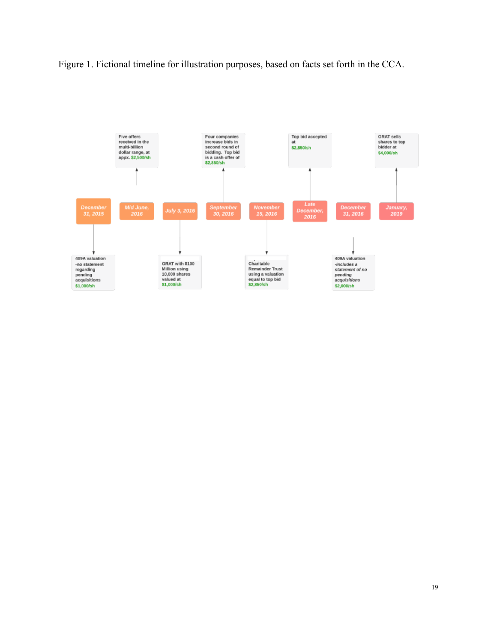Figure 1. Fictional timeline for illustration purposes, based on facts set forth in the CCA.

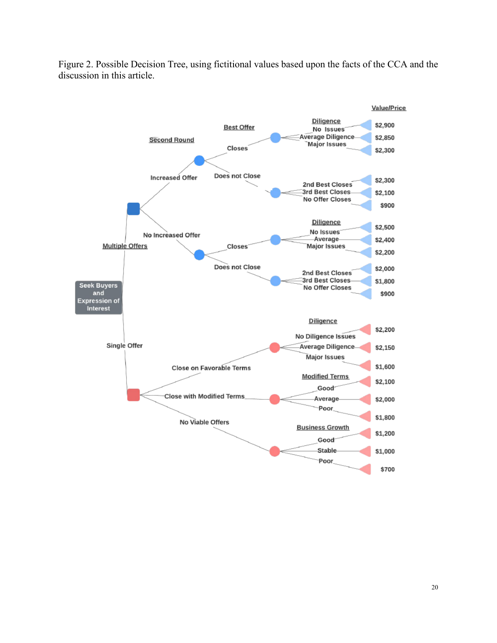

Figure 2. Possible Decision Tree, using fictitional values based upon the facts of the CCA and the discussion in this article.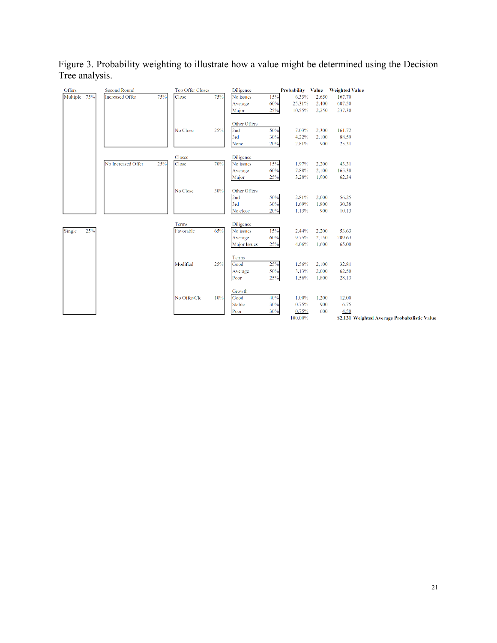Figure 3. Probability weighting to illustrate how a value might be determined using the Decision Tree analysis.

| Offers        | <b>Second Round</b>           | <b>Top Offer Closes</b> |     | Diligence           |            | Probability Value Weighted Value |                |                |                                              |
|---------------|-------------------------------|-------------------------|-----|---------------------|------------|----------------------------------|----------------|----------------|----------------------------------------------|
| Multiple 75%  | 75%<br><b>Increased Offer</b> | Close                   | 75% | No issues           | 15%        | 6.33%                            | 2,650          | 167.70         |                                              |
|               |                               |                         |     | Average             | 60%        | 25.31%                           | 2,400          | 607.50         |                                              |
|               |                               |                         |     | Major               | 25%        | 10.55%                           | 2,250          | 237.30         |                                              |
|               |                               |                         |     |                     |            |                                  |                |                |                                              |
|               |                               |                         |     | Other Offers        |            |                                  |                |                |                                              |
|               |                               | No Close                | 25% | 2nd                 | 50%        | 7.03%                            | 2,300          | 161.72         |                                              |
|               |                               |                         |     | 3rd                 | 30%        | 4.22%                            | 2.100          | 88.59          |                                              |
|               |                               |                         |     | None                | 20%        | 2.81%                            | 900            | 25.31          |                                              |
|               |                               |                         |     |                     |            |                                  |                |                |                                              |
|               |                               | Closes                  |     | Diligence           |            |                                  |                |                |                                              |
|               | 25%<br>No Increased Offer     | Close                   | 70% | No issues           | 15%        | 1.97%                            | 2,200          | 43.31          |                                              |
|               |                               |                         |     | Average             | 60%        | 7.88%                            | 2,100          | 165.38         |                                              |
|               |                               |                         |     | Major               | 25%        | 3.28%                            | 1,900          | 62.34          |                                              |
|               |                               |                         |     |                     |            |                                  |                |                |                                              |
|               |                               | No Close                | 30% | Other Offers        |            |                                  |                |                |                                              |
|               |                               |                         |     | 2nd<br>3rd          | 50%<br>30% | 2.81%<br>1.69%                   | 2,000<br>1,800 | 56.25<br>30.38 |                                              |
|               |                               |                         |     | No close            | 20%        | 1.13%                            | 900            | 10.13          |                                              |
|               |                               |                         |     |                     |            |                                  |                |                |                                              |
|               |                               | Terms                   |     | Diligence           |            |                                  |                |                |                                              |
| 25%<br>Single |                               | Favorable               | 65% | No issues           | 15%        | 2.44%                            | 2,200          | 53.63          |                                              |
|               |                               |                         |     | Average             | 60%        | 9.75%                            | 2,150          | 209.63         |                                              |
|               |                               |                         |     | <b>Major Issues</b> | 25%        | 4.06%                            | 1,600          | 65.00          |                                              |
|               |                               |                         |     |                     |            |                                  |                |                |                                              |
|               |                               |                         |     | Terms               |            |                                  |                |                |                                              |
|               |                               | Modified                | 25% | Good                | 25%        | 1.56%                            | 2,100          | 32.81          |                                              |
|               |                               |                         |     | Average             | 50%        | 3.13%                            | 2,000          | 62.50          |                                              |
|               |                               |                         |     | Poor                | 25%        | 1.56%                            | 1,800          | 28.13          |                                              |
|               |                               |                         |     |                     |            |                                  |                |                |                                              |
|               |                               |                         |     | Growth              |            |                                  |                |                |                                              |
|               |                               | No Offer/Clc            | 10% | Good                | 40%        | 1.00%                            | 1,200          | 12.00          |                                              |
|               |                               |                         |     | <b>Stable</b>       | 30%        | 0.75%                            | 900            | 6.75           |                                              |
|               |                               |                         |     | Poor                | 30%        | 0.75%                            | 600            | 4.50           |                                              |
|               |                               |                         |     |                     |            | 100.00%                          |                |                | \$2,131 Weighted Average Probabalistic Value |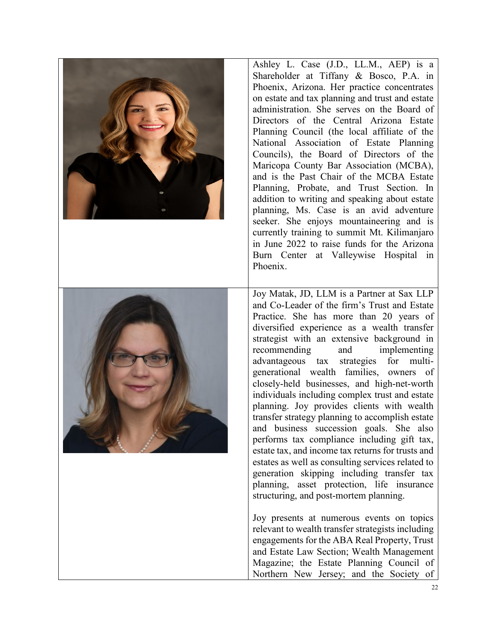

Ashley L. Case (J.D., LL.M., AEP) is a Shareholder at Tiffany & Bosco, P.A. in Phoenix, Arizona. Her practice concentrates on estate and tax planning and trust and estate administration. She serves on the Board of Directors of the Central Arizona Estate Planning Council (the local affiliate of the National Association of Estate Planning Councils), the Board of Directors of the Maricopa County Bar Association (MCBA), and is the Past Chair of the MCBA Estate Planning, Probate, and Trust Section. In addition to writing and speaking about estate planning, Ms. Case is an avid adventure seeker. She enjoys mountaineering and is currently training to summit Mt. Kilimanjaro in June 2022 to raise funds for the Arizona Burn Center at Valleywise Hospital in Phoenix.



Joy Matak, JD, LLM is a Partner at Sax LLP and Co-Leader of the firm's Trust and Estate Practice. She has more than 20 years of diversified experience as a wealth transfer strategist with an extensive background in recommending and implementing advantageous tax strategies for multigenerational wealth families, owners of closely-held businesses, and high-net-worth individuals including complex trust and estate planning. Joy provides clients with wealth transfer strategy planning to accomplish estate and business succession goals. She also performs tax compliance including gift tax, estate tax, and income tax returns for trusts and estates as well as consulting services related to generation skipping including transfer tax planning, asset protection, life insurance structuring, and post-mortem planning.

Joy presents at numerous events on topics relevant to wealth transfer strategists including engagements for the ABA Real Property, Trust and Estate Law Section; Wealth Management Magazine; the Estate Planning Council of Northern New Jersey; and the Society of